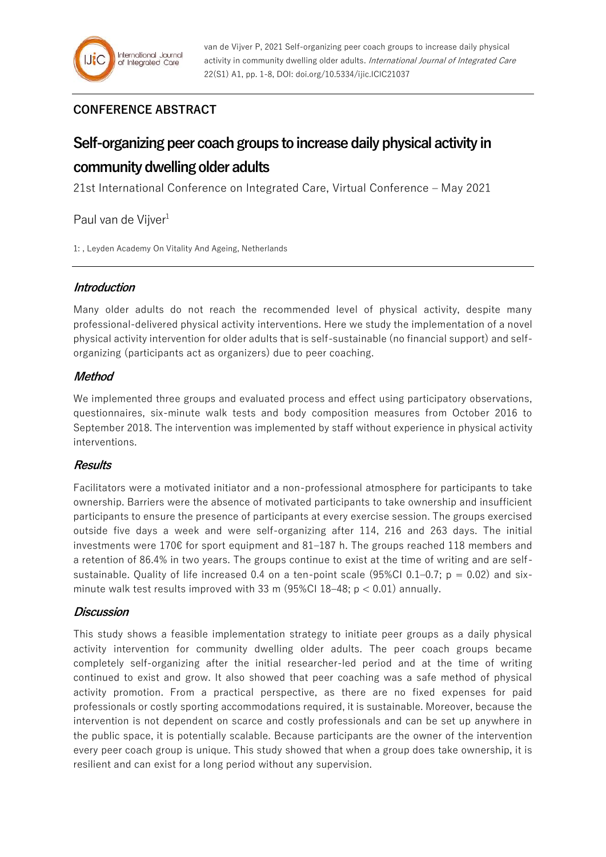# **CONFERENCE ABSTRACT**

# **Self-organizing peer coach groups to increase daily physical activity in community dwelling older adults**

21st International Conference on Integrated Care, Virtual Conference – May 2021

Paul van de Vijver<sup>1</sup>

1: , Leyden Academy On Vitality And Ageing, Netherlands

# **Introduction**

Many older adults do not reach the recommended level of physical activity, despite many professional-delivered physical activity interventions. Here we study the implementation of a novel physical activity intervention for older adults that is self-sustainable (no financial support) and selforganizing (participants act as organizers) due to peer coaching.

# **Method**

We implemented three groups and evaluated process and effect using participatory observations, questionnaires, six-minute walk tests and body composition measures from October 2016 to September 2018. The intervention was implemented by staff without experience in physical activity interventions.

# **Results**

Facilitators were a motivated initiator and a non-professional atmosphere for participants to take ownership. Barriers were the absence of motivated participants to take ownership and insufficient participants to ensure the presence of participants at every exercise session. The groups exercised outside five days a week and were self-organizing after 114, 216 and 263 days. The initial investments were 170€ for sport equipment and 81–187 h. The groups reached 118 members and a retention of 86.4% in two years. The groups continue to exist at the time of writing and are selfsustainable. Quality of life increased 0.4 on a ten-point scale (95%Cl 0.1–0.7;  $p = 0.02$ ) and sixminute walk test results improved with 33 m (95%CI 18-48;  $p < 0.01$ ) annually.

## **Discussion**

This study shows a feasible implementation strategy to initiate peer groups as a daily physical activity intervention for community dwelling older adults. The peer coach groups became completely self-organizing after the initial researcher-led period and at the time of writing continued to exist and grow. It also showed that peer coaching was a safe method of physical activity promotion. From a practical perspective, as there are no fixed expenses for paid professionals or costly sporting accommodations required, it is sustainable. Moreover, because the intervention is not dependent on scarce and costly professionals and can be set up anywhere in the public space, it is potentially scalable. Because participants are the owner of the intervention every peer coach group is unique. This study showed that when a group does take ownership, it is resilient and can exist for a long period without any supervision.